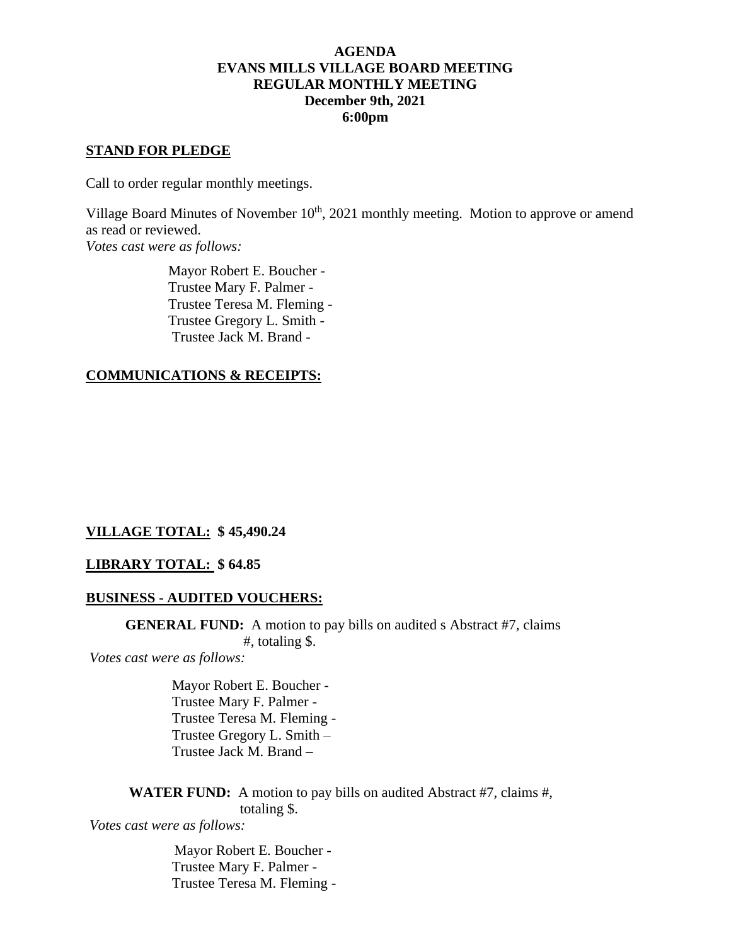# **AGENDA EVANS MILLS VILLAGE BOARD MEETING REGULAR MONTHLY MEETING December 9th, 2021 6:00pm**

#### **STAND FOR PLEDGE**

Call to order regular monthly meetings.

Village Board Minutes of November  $10<sup>th</sup>$ , 2021 monthly meeting. Motion to approve or amend as read or reviewed.

*Votes cast were as follows:*

 Mayor Robert E. Boucher - Trustee Mary F. Palmer - Trustee Teresa M. Fleming - Trustee Gregory L. Smith - Trustee Jack M. Brand -

# **COMMUNICATIONS & RECEIPTS:**

# **VILLAGE TOTAL: \$ 45,490.24**

# **LIBRARY TOTAL: \$ 64.85**

# **BUSINESS - AUDITED VOUCHERS:**

**GENERAL FUND:** A motion to pay bills on audited s Abstract #7, claims #, totaling \$.

*Votes cast were as follows:*

Mayor Robert E. Boucher - Trustee Mary F. Palmer - Trustee Teresa M. Fleming - Trustee Gregory L. Smith – Trustee Jack M. Brand –

**WATER FUND:** A motion to pay bills on audited Abstract #7, claims #, totaling \$.

*Votes cast were as follows:*

 Mayor Robert E. Boucher - Trustee Mary F. Palmer - Trustee Teresa M. Fleming -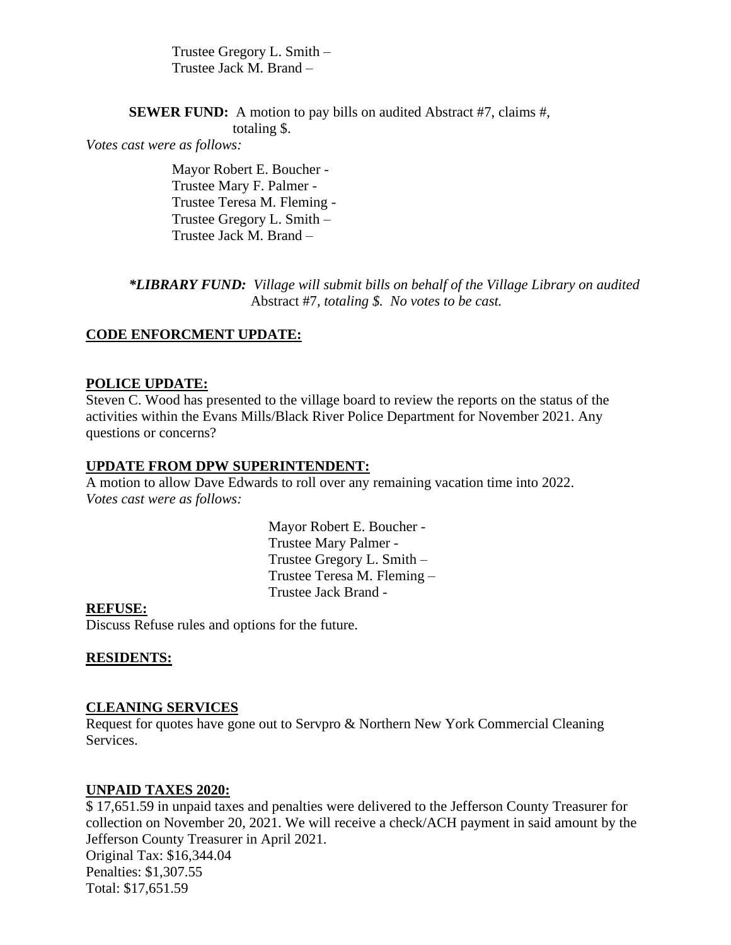Trustee Gregory L. Smith – Trustee Jack M. Brand –

**SEWER FUND:** A motion to pay bills on audited Abstract #7, claims #,

totaling \$.

*Votes cast were as follows:*

Mayor Robert E. Boucher - Trustee Mary F. Palmer - Trustee Teresa M. Fleming - Trustee Gregory L. Smith – Trustee Jack M. Brand –

*\*LIBRARY FUND: Village will submit bills on behalf of the Village Library on audited* Abstract #7*, totaling \$. No votes to be cast.*

# **CODE ENFORCMENT UPDATE:**

# **POLICE UPDATE:**

Steven C. Wood has presented to the village board to review the reports on the status of the activities within the Evans Mills/Black River Police Department for November 2021. Any questions or concerns?

# **UPDATE FROM DPW SUPERINTENDENT:**

A motion to allow Dave Edwards to roll over any remaining vacation time into 2022. *Votes cast were as follows:*

> Mayor Robert E. Boucher - Trustee Mary Palmer - Trustee Gregory L. Smith – Trustee Teresa M. Fleming – Trustee Jack Brand -

# **REFUSE:**

Discuss Refuse rules and options for the future.

# **RESIDENTS:**

#### **CLEANING SERVICES**

Request for quotes have gone out to Servpro & Northern New York Commercial Cleaning Services.

#### **UNPAID TAXES 2020:**

\$ 17,651.59 in unpaid taxes and penalties were delivered to the Jefferson County Treasurer for collection on November 20, 2021. We will receive a check/ACH payment in said amount by the Jefferson County Treasurer in April 2021. Original Tax: \$16,344.04 Penalties: \$1,307.55 Total: \$17,651.59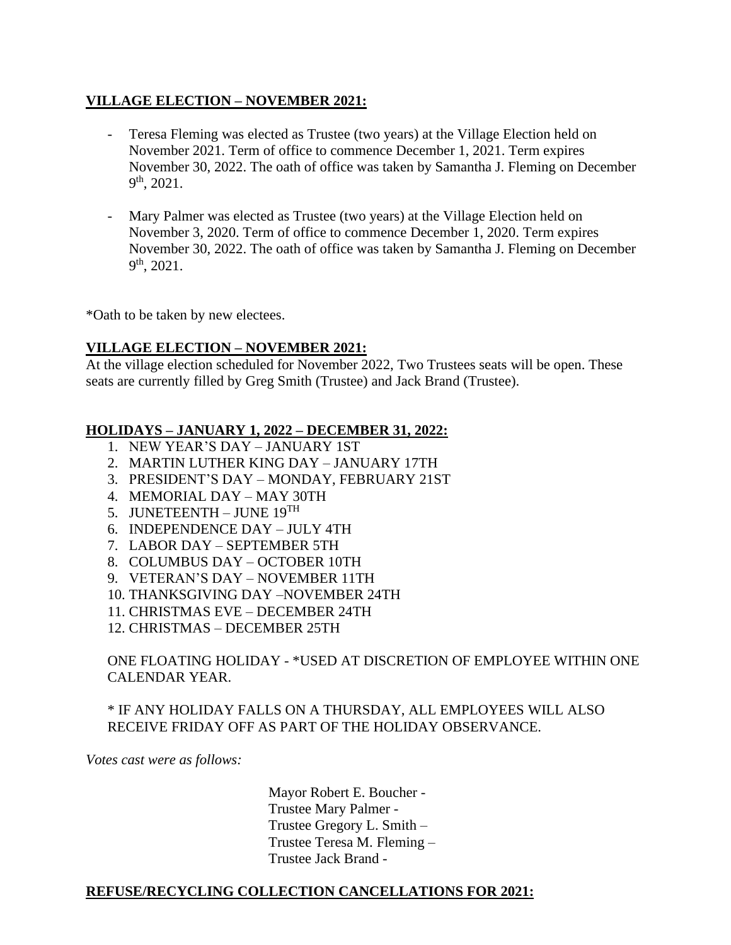# **VILLAGE ELECTION – NOVEMBER 2021:**

- Teresa Fleming was elected as Trustee (two years) at the Village Election held on November 2021. Term of office to commence December 1, 2021. Term expires November 30, 2022. The oath of office was taken by Samantha J. Fleming on December  $9<sup>th</sup>$ , 2021.
- Mary Palmer was elected as Trustee (two years) at the Village Election held on November 3, 2020. Term of office to commence December 1, 2020. Term expires November 30, 2022. The oath of office was taken by Samantha J. Fleming on December  $9<sup>th</sup>$ , 2021.

\*Oath to be taken by new electees.

# **VILLAGE ELECTION – NOVEMBER 2021:**

At the village election scheduled for November 2022, Two Trustees seats will be open. These seats are currently filled by Greg Smith (Trustee) and Jack Brand (Trustee).

# **HOLIDAYS – JANUARY 1, 2022 – DECEMBER 31, 2022:**

- 1. NEW YEAR'S DAY JANUARY 1ST
- 2. MARTIN LUTHER KING DAY JANUARY 17TH
- 3. PRESIDENT'S DAY MONDAY, FEBRUARY 21ST
- 4. MEMORIAL DAY MAY 30TH
- 5. JUNETEENTH JUNE  $19^{TH}$
- 6. INDEPENDENCE DAY JULY 4TH
- 7. LABOR DAY SEPTEMBER 5TH
- 8. COLUMBUS DAY OCTOBER 10TH
- 9. VETERAN'S DAY NOVEMBER 11TH
- 10. THANKSGIVING DAY –NOVEMBER 24TH
- 11. CHRISTMAS EVE DECEMBER 24TH
- 12. CHRISTMAS DECEMBER 25TH

# ONE FLOATING HOLIDAY - \*USED AT DISCRETION OF EMPLOYEE WITHIN ONE CALENDAR YEAR.

# \* IF ANY HOLIDAY FALLS ON A THURSDAY, ALL EMPLOYEES WILL ALSO RECEIVE FRIDAY OFF AS PART OF THE HOLIDAY OBSERVANCE.

*Votes cast were as follows:*

 Mayor Robert E. Boucher - Trustee Mary Palmer - Trustee Gregory L. Smith – Trustee Teresa M. Fleming – Trustee Jack Brand -

# **REFUSE/RECYCLING COLLECTION CANCELLATIONS FOR 2021:**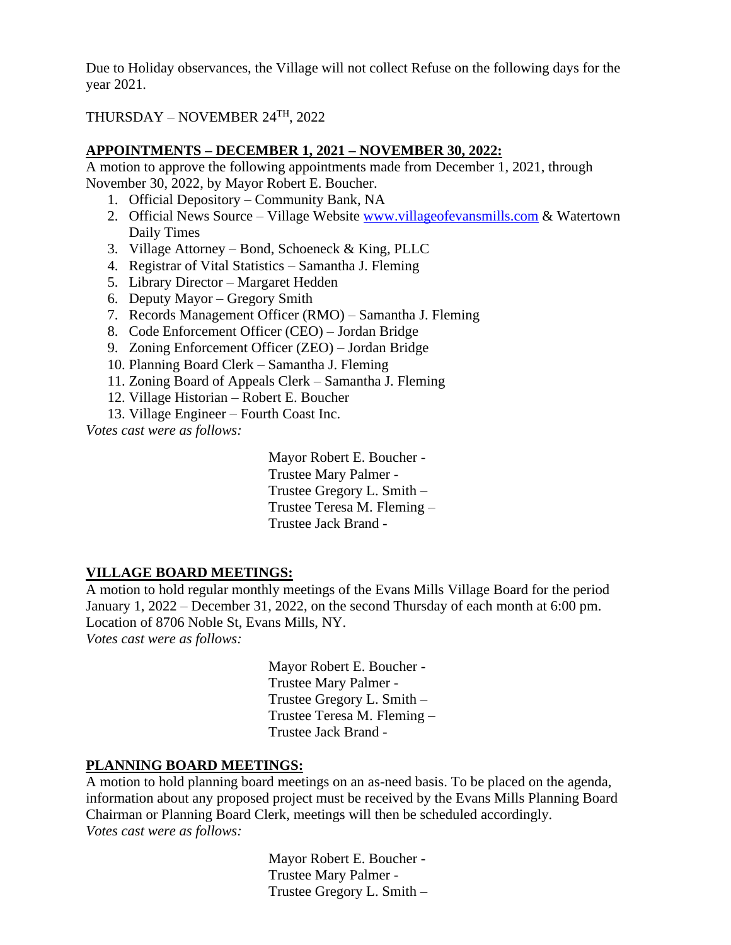Due to Holiday observances, the Village will not collect Refuse on the following days for the year 2021.

THURSDAY – NOVEMBER 24TH, 2022

# **APPOINTMENTS – DECEMBER 1, 2021 – NOVEMBER 30, 2022:**

A motion to approve the following appointments made from December 1, 2021, through November 30, 2022, by Mayor Robert E. Boucher.

- 1. Official Depository Community Bank, NA
- 2. Official News Source Village Website [www.villageofevansmills.com](http://www.villageofevansmills.com/) & Watertown Daily Times
- 3. Village Attorney Bond, Schoeneck & King, PLLC
- 4. Registrar of Vital Statistics Samantha J. Fleming
- 5. Library Director Margaret Hedden
- 6. Deputy Mayor Gregory Smith
- 7. Records Management Officer (RMO) Samantha J. Fleming
- 8. Code Enforcement Officer (CEO) Jordan Bridge
- 9. Zoning Enforcement Officer (ZEO) Jordan Bridge
- 10. Planning Board Clerk Samantha J. Fleming
- 11. Zoning Board of Appeals Clerk Samantha J. Fleming
- 12. Village Historian Robert E. Boucher
- 13. Village Engineer Fourth Coast Inc.

*Votes cast were as follows:*

 Mayor Robert E. Boucher - Trustee Mary Palmer - Trustee Gregory L. Smith – Trustee Teresa M. Fleming – Trustee Jack Brand -

# **VILLAGE BOARD MEETINGS:**

A motion to hold regular monthly meetings of the Evans Mills Village Board for the period January 1, 2022 – December 31, 2022, on the second Thursday of each month at 6:00 pm. Location of 8706 Noble St, Evans Mills, NY.

*Votes cast were as follows:*

 Mayor Robert E. Boucher - Trustee Mary Palmer - Trustee Gregory L. Smith – Trustee Teresa M. Fleming – Trustee Jack Brand -

# **PLANNING BOARD MEETINGS:**

A motion to hold planning board meetings on an as-need basis. To be placed on the agenda, information about any proposed project must be received by the Evans Mills Planning Board Chairman or Planning Board Clerk, meetings will then be scheduled accordingly. *Votes cast were as follows:*

> Mayor Robert E. Boucher - Trustee Mary Palmer - Trustee Gregory L. Smith –